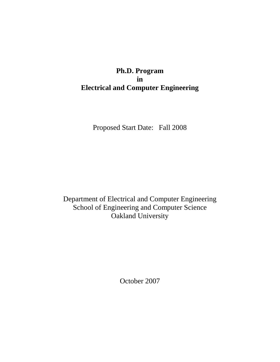# **Ph.D. Program in Electrical and Computer Engineering**

Proposed Start Date: Fall 2008

Department of Electrical and Computer Engineering School of Engineering and Computer Science Oakland University

October 2007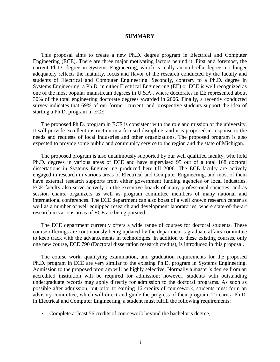#### **SUMMARY**

 This proposal aims to create a new Ph.D. degree program in Electrical and Computer Engineering (ECE). There are three major motivating factors behind it. First and foremost, the current Ph.D. degree in Systems Engineering, which is really an umbrella degree, no longer adequately reflects the maturity, focus and flavor of the research conducted by the faculty and students of Electrical and Computer Engineering. Secondly, contrary to a Ph.D. degree in Systems Engineering, a Ph.D. in either Electrical Engineering (EE) or ECE is well recognized as one of the most popular mainstream degrees in U.S.A., where doctorates in EE represented about 30% of the total engineering doctorate degrees awarded in 2006. Finally, a recently conducted survey indicates that 69% of our former, current, and prospective students support the idea of starting a Ph.D. program in ECE.

 The proposed Ph.D. program in ECE is consistent with the role and mission of the university. It will provide excellent instruction in a focused discipline, and it is proposed in response to the needs and requests of local industries and other organizations. The proposed program is also expected to provide some public and community service to the region and the state of Michigan.

 The proposed program is also unanimously supported by our well qualified faculty, who hold Ph.D. degrees in various areas of ECE and have supervised 95 out of a total 168 doctoral dissertations in Systems Engineering produced here till 2006. The ECE faculty are actively engaged in research in various areas of Electrical and Computer Engineering, and most of them have external research supports from either government funding agencies or local industries. ECE faculty also serve actively on the executive boards of many professional societies, and as session chairs, organizers as well as program committee members of many national and international conferences. The ECE department can also boast of a well known research center as well as a number of well equipped research and development laboratories, where state-of-the-art research in various areas of ECE are being pursued.

 The ECE department currently offers a wide range of courses for doctoral students. These course offerings are continuously being updated by the department's graduate affairs committee to keep track with the advancements in technologies. In addition to these existing courses, only one new course, ECE 790 (Doctoral dissertation research credits), is introduced in this proposal.

 The course work, qualifying examination, and graduation requirements for the proposed Ph.D. program in ECE are very similar to the existing Ph.D. program in Systems Engineering. Admission to the proposed program will be highly selective. Normally a master's degree from an accredited institution will be required for admission; however, students with outstanding undergraduate records may apply directly for admission to the doctoral programs. As soon as possible after admission, but prior to earning 16 credits of coursework, students must form an advisory committee, which will direct and guide the progress of their program. To earn a Ph.D. in Electrical and Computer Engineering, a student must fulfill the following requirements:

• Complete at least 56 credits of coursework beyond the bachelor's degree,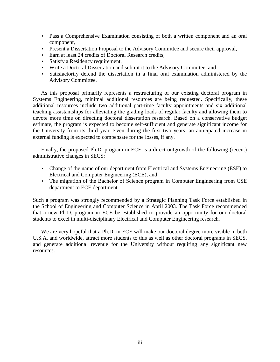- Pass a Comprehensive Examination consisting of both a written component and an oral component,
- Present a Dissertation Proposal to the Advisory Committee and secure their approval,
- Earn at least 24 credits of Doctoral Research credits,
- Satisfy a Residency requirement,
- Write a Doctoral Dissertation and submit it to the Advisory Committee, and
- Satisfactorily defend the dissertation in a final oral examination administered by the Advisory Committee.

 As this proposal primarily represents a restructuring of our existing doctoral program in Systems Engineering, minimal additional resources are being requested. Specifically, these additional resources include two additional part-time faculty appointments and six additional teaching assistantships for alleviating the grading loads of regular faculty and allowing them to devote more time on directing doctoral dissertation research. Based on a conservative budget estimate, the program is expected to become self-sufficient and generate significant income for the University from its third year. Even during the first two years, an anticipated increase in external funding is expected to compensate for the losses, if any.

 Finally, the proposed Ph.D. program in ECE is a direct outgrowth of the following (recent) administrative changes in SECS:

- Change of the name of our department from Electrical and Systems Engineering (ESE) to Electrical and Computer Engineering (ECE), and
- The migration of the Bachelor of Science program in Computer Engineering from CSE department to ECE department.

Such a program was strongly recommended by a Strategic Planning Task Force established in the School of Engineering and Computer Science in April 2003. The Task Force recommended that a new Ph.D. program in ECE be established to provide an opportunity for our doctoral students to excel in multi-disciplinary Electrical and Computer Engineering research.

 We are very hopeful that a Ph.D. in ECE will make our doctoral degree more visible in both U.S.A. and worldwide, attract more students to this as well as other doctoral programs in SECS, and generate additional revenue for the University without requiring any significant new resources.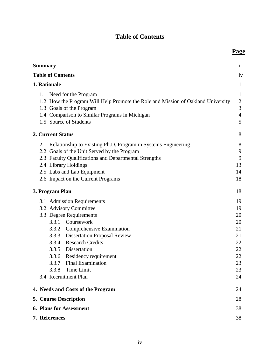# **Table of Contents**

**Page**

| <b>Summary</b>                                                                                                                                                                                                                                                                                                                     | $\overline{11}$                                                      |
|------------------------------------------------------------------------------------------------------------------------------------------------------------------------------------------------------------------------------------------------------------------------------------------------------------------------------------|----------------------------------------------------------------------|
| <b>Table of Contents</b>                                                                                                                                                                                                                                                                                                           | iv                                                                   |
| 1. Rationale                                                                                                                                                                                                                                                                                                                       | 1                                                                    |
| 1.1 Need for the Program<br>1.2 How the Program Will Help Promote the Role and Mission of Oakland University<br>1.3 Goals of the Program<br>1.4 Comparison to Similar Programs in Michigan<br>1.5 Source of Students                                                                                                               | $\mathbf{1}$<br>$\boldsymbol{2}$<br>3<br>$\overline{4}$<br>5         |
| 2. Current Status                                                                                                                                                                                                                                                                                                                  | 8                                                                    |
| 2.1 Relationship to Existing Ph.D. Program in Systems Engineering<br>2.2 Goals of the Unit Served by the Program<br>2.3 Faculty Qualifications and Departmental Strengths<br>2.4 Library Holdings<br>2.5 Labs and Lab Equipment<br>2.6 Impact on the Current Programs                                                              | 8<br>9<br>9<br>13<br>14<br>18                                        |
| 3. Program Plan                                                                                                                                                                                                                                                                                                                    | 18                                                                   |
| 3.1 Admission Requirements<br>3.2 Advisory Committee<br>3.3 Degree Requirements<br>3.3.1 Coursework<br>3.3.2 Comprehensive Examination<br>3.3.3 Dissertation Proposal Review<br>3.3.4 Research Credits<br>3.3.5 Dissertation<br>3.3.6 Residency requirement<br>3.3.7 Final Examination<br>3.3.8 Time Limit<br>3.4 Recruitment Plan | 19<br>19<br>20<br>20<br>21<br>21<br>22<br>22<br>22<br>23<br>23<br>24 |
| 4. Needs and Costs of the Program                                                                                                                                                                                                                                                                                                  | 24                                                                   |
| <b>5. Course Description</b>                                                                                                                                                                                                                                                                                                       | 28                                                                   |
| <b>6. Plans for Assessment</b>                                                                                                                                                                                                                                                                                                     | 38                                                                   |
| 7. References                                                                                                                                                                                                                                                                                                                      | 38                                                                   |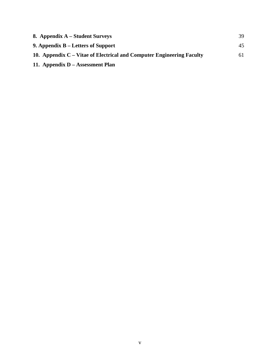| 8. Appendix A – Student Surveys                                       | 39  |
|-----------------------------------------------------------------------|-----|
| 9. Appendix B – Letters of Support                                    | 45  |
| 10. Appendix C – Vitae of Electrical and Computer Engineering Faculty | 61. |
| 11. Appendix D – Assessment Plan                                      |     |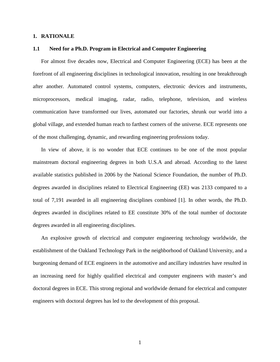## **1. RATIONALE**

### **1.1 Need for a Ph.D. Program in Electrical and Computer Engineering**

 For almost five decades now, Electrical and Computer Engineering (ECE) has been at the forefront of all engineering disciplines in technological innovation, resulting in one breakthrough after another. Automated control systems, computers, electronic devices and instruments, microprocessors, medical imaging, radar, radio, telephone, television, and wireless communication have transformed our lives, automated our factories, shrunk our world into a global village, and extended human reach to farthest corners of the universe. ECE represents one of the most challenging, dynamic, and rewarding engineering professions today.

 In view of above, it is no wonder that ECE continues to be one of the most popular mainstream doctoral engineering degrees in both U.S.A and abroad. According to the latest available statistics published in 2006 by the National Science Foundation, the number of Ph.D. degrees awarded in disciplines related to Electrical Engineering (EE) was 2133 compared to a total of 7,191 awarded in all engineering disciplines combined [1]. In other words, the Ph.D. degrees awarded in disciplines related to EE constitute 30% of the total number of doctorate degrees awarded in all engineering disciplines.

 An explosive growth of electrical and computer engineering technology worldwide, the establishment of the Oakland Technology Park in the neighborhood of Oakland University, and a burgeoning demand of ECE engineers in the automotive and ancillary industries have resulted in an increasing need for highly qualified electrical and computer engineers with master's and doctoral degrees in ECE. This strong regional and worldwide demand for electrical and computer engineers with doctoral degrees has led to the development of this proposal.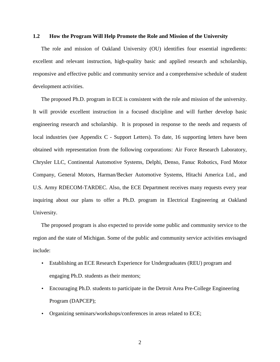## **1.2 How the Program Will Help Promote the Role and Mission of the University**

 The role and mission of Oakland University (OU) identifies four essential ingredients: excellent and relevant instruction, high-quality basic and applied research and scholarship, responsive and effective public and community service and a comprehensive schedule of student development activities.

 The proposed Ph.D. program in ECE is consistent with the role and mission of the university. It will provide excellent instruction in a focused discipline and will further develop basic engineering research and scholarship. It is proposed in response to the needs and requests of local industries (see Appendix C - Support Letters). To date, 16 supporting letters have been obtained with representation from the following corporations: Air Force Research Laboratory, Chrysler LLC, Continental Automotive Systems, Delphi, Denso, Fanuc Robotics, Ford Motor Company, General Motors, Harman/Becker Automotive Systems, Hitachi America Ltd., and U.S. Army RDECOM-TARDEC. Also, the ECE Department receives many requests every year inquiring about our plans to offer a Ph.D. program in Electrical Engineering at Oakland University.

 The proposed program is also expected to provide some public and community service to the region and the state of Michigan. Some of the public and community service activities envisaged include:

- Establishing an ECE Research Experience for Undergraduates (REU) program and engaging Ph.D. students as their mentors;
- Encouraging Ph.D. students to participate in the Detroit Area Pre-College Engineering Program (DAPCEP);
- Organizing seminars/workshops/conferences in areas related to ECE;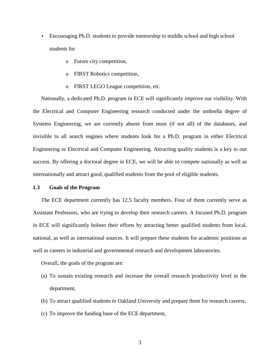- Encouraging Ph.D. students to provide mentorship to middle school and high school students for
	- o Future city competition,
	- o FIRST Robotics competition,
	- o FIRST LEGO League competition, etc.

 Nationally, a dedicated Ph.D. program in ECE will significantly improve our visibility. With the Electrical and Computer Engineering research conducted under the umbrella degree of Systems Engineering, we are currently absent from most (if not all) of the databases, and invisible to all search engines where students look for a Ph.D. program in either Electrical Engineering or Electrical and Computer Engineering. Attracting quality students is a key to our success. By offering a doctoral degree in ECE, we will be able to compete nationally as well as internationally and attract good, qualified students from the pool of eligible students.

#### **1.3 Goals of the Program**

 The ECE department currently has 12.5 faculty members. Four of them currently serve as Assistant Professors, who are trying to develop their research careers. A focused Ph.D. program in ECE will significantly bolster their efforts by attracting better qualified students from local, national, as well as international sources. It will prepare these students for academic positions as well as careers in industrial and governmental research and development laboratories.

Overall, the goals of the program are:

- (a) To sustain existing research and increase the overall research productivity level in the department,
- (b) To attract qualified students to Oakland University and prepare them for research careers,
- (c) To improve the funding base of the ECE department,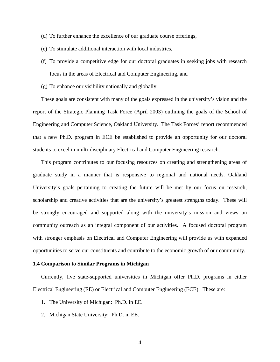- (d) To further enhance the excellence of our graduate course offerings,
- (e) To stimulate additional interaction with local industries,
- (f) To provide a competitive edge for our doctoral graduates in seeking jobs with research focus in the areas of Electrical and Computer Engineering, and
- (g) To enhance our visibility nationally and globally.

 These goals are consistent with many of the goals expressed in the university's vision and the report of the Strategic Planning Task Force (April 2003) outlining the goals of the School of Engineering and Computer Science, Oakland University. The Task Forces' report recommended that a new Ph.D. program in ECE be established to provide an opportunity for our doctoral students to excel in multi-disciplinary Electrical and Computer Engineering research.

 This program contributes to our focusing resources on creating and strengthening areas of graduate study in a manner that is responsive to regional and national needs. Oakland University's goals pertaining to creating the future will be met by our focus on research, scholarship and creative activities that are the university's greatest strengths today. These will be strongly encouraged and supported along with the university's mission and views on community outreach as an integral component of our activities. A focused doctoral program with stronger emphasis on Electrical and Computer Engineering will provide us with expanded opportunities to serve our constituents and contribute to the economic growth of our community.

## **1.4 Comparison to Similar Programs in Michigan**

 Currently, five state-supported universities in Michigan offer Ph.D. programs in either Electrical Engineering (EE) or Electrical and Computer Engineering (ECE). These are:

- 1. The University of Michigan: Ph.D. in EE.
- 2. Michigan State University: Ph.D. in EE.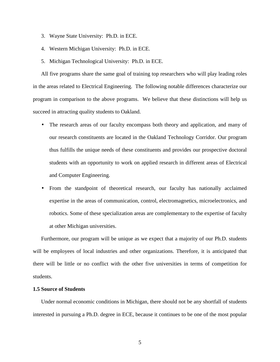- 3. Wayne State University: Ph.D. in ECE.
- 4. Western Michigan University: Ph.D. in ECE.
- 5. Michigan Technological University: Ph.D. in ECE.

 All five programs share the same goal of training top researchers who will play leading roles in the areas related to Electrical Engineering. The following notable differences characterize our program in comparison to the above programs. We believe that these distinctions will help us succeed in attracting quality students to Oakland.

- The research areas of our faculty encompass both theory and application, and many of our research constituents are located in the Oakland Technology Corridor. Our program thus fulfills the unique needs of these constituents and provides our prospective doctoral students with an opportunity to work on applied research in different areas of Electrical and Computer Engineering.
- From the standpoint of theoretical research, our faculty has nationally acclaimed expertise in the areas of communication, control, electromagnetics, microelectronics, and robotics. Some of these specialization areas are complementary to the expertise of faculty at other Michigan universities.

 Furthermore, our program will be unique as we expect that a majority of our Ph.D. students will be employees of local industries and other organizations. Therefore, it is anticipated that there will be little or no conflict with the other five universities in terms of competition for students.

## **1.5 Source of Students**

 Under normal economic conditions in Michigan, there should not be any shortfall of students interested in pursuing a Ph.D. degree in ECE, because it continues to be one of the most popular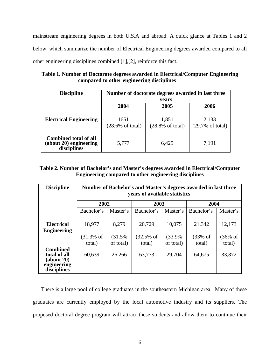mainstream engineering degrees in both U.S.A and abroad. A quick glance at Tables 1 and 2 below, which summarize the number of Electrical Engineering degrees awarded compared to all other engineering disciplines combined [1],[2], reinforce this fact.

**Table 1. Number of Doctorate degrees awarded in Electrical/Computer Engineering compared to other engineering disciplines** 

| <b>Discipline</b>                                                     | Number of doctorate degrees awarded in last three<br>years |                                      |                                      |  |  |
|-----------------------------------------------------------------------|------------------------------------------------------------|--------------------------------------|--------------------------------------|--|--|
|                                                                       | 2004                                                       | 2005                                 | 2006                                 |  |  |
| <b>Electrical Engineering</b>                                         | 1651<br>$(28.6\% \text{ of total})$                        | 1,851<br>$(28.8\% \text{ of total})$ | 2,133<br>$(29.7\% \text{ of total})$ |  |  |
| <b>Combined total of all</b><br>(about 20) engineering<br>disciplines | 5,777                                                      | 6,425                                | 7,191                                |  |  |

# **Table 2. Number of Bachelor's and Master's degrees awarded in Electrical/Computer Engineering compared to other engineering disciplines**

| <b>Discipline</b>                                                           | Number of Bachelor's and Master's degrees awarded in last three<br>years of available statistics |           |             |           |            |                     |  |
|-----------------------------------------------------------------------------|--------------------------------------------------------------------------------------------------|-----------|-------------|-----------|------------|---------------------|--|
|                                                                             | 2002                                                                                             |           | 2003        |           | 2004       |                     |  |
|                                                                             | Bachelor's                                                                                       | Master's  | Bachelor's  | Master's  | Bachelor's | Master's            |  |
|                                                                             |                                                                                                  |           |             |           |            |                     |  |
| <b>Electrical</b>                                                           | 18,977                                                                                           | 8,279     | 20,729      | 10,075    | 21,342     | 12,173              |  |
| <b>Engineering</b>                                                          |                                                                                                  |           |             |           |            |                     |  |
|                                                                             | $(31.3%$ of                                                                                      | (31.5%    | $(32.5%$ of | (33.9%    | $(33%$ of  | $(36\% \text{ of }$ |  |
|                                                                             | total)                                                                                           | of total) | total)      | of total) | total)     | total)              |  |
| <b>Combined</b><br>total of all<br>(about 20)<br>engineering<br>disciplines | 60,639                                                                                           | 26,266    | 63,773      | 29,704    | 64,675     | 33,872              |  |

 There is a large pool of college graduates in the southeastern Michigan area. Many of these graduates are currently employed by the local automotive industry and its suppliers. The proposed doctoral degree program will attract these students and allow them to continue their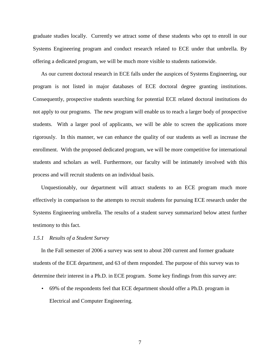graduate studies locally. Currently we attract some of these students who opt to enroll in our Systems Engineering program and conduct research related to ECE under that umbrella. By offering a dedicated program, we will be much more visible to students nationwide.

 As our current doctoral research in ECE falls under the auspices of Systems Engineering, our program is not listed in major databases of ECE doctoral degree granting institutions. Consequently, prospective students searching for potential ECE related doctoral institutions do not apply to our programs. The new program will enable us to reach a larger body of prospective students. With a larger pool of applicants, we will be able to screen the applications more rigorously. In this manner, we can enhance the quality of our students as well as increase the enrollment. With the proposed dedicated program, we will be more competitive for international students and scholars as well. Furthermore, our faculty will be intimately involved with this process and will recruit students on an individual basis.

 Unquestionably, our department will attract students to an ECE program much more effectively in comparison to the attempts to recruit students for pursuing ECE research under the Systems Engineering umbrella. The results of a student survey summarized below attest further testimony to this fact.

#### *1.5.1 Results of a Student Survey*

 In the Fall semester of 2006 a survey was sent to about 200 current and former graduate students of the ECE department, and 63 of them responded. The purpose of this survey was to determine their interest in a Ph.D. in ECE program. Some key findings from this survey are:

• 69% of the respondents feel that ECE department should offer a Ph.D. program in Electrical and Computer Engineering.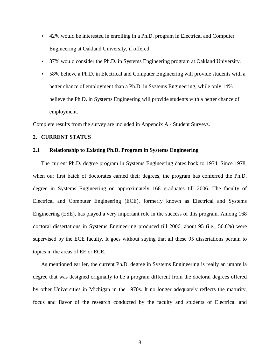- 42% would be interested in enrolling in a Ph.D. program in Electrical and Computer Engineering at Oakland University, if offered.
- 37% would consider the Ph.D. in Systems Engineering program at Oakland University.
- 58% believe a Ph.D. in Electrical and Computer Engineering will provide students with a better chance of employment than a Ph.D. in Systems Engineering, while only 14% believe the Ph.D. in Systems Engineering will provide students with a better chance of employment.

Complete results from the survey are included in Appendix A - Student Surveys.

## **2. CURRENT STATUS**

## **2.1 Relationship to Existing Ph.D. Program in Systems Engineering**

 The current Ph.D. degree program in Systems Engineering dates back to 1974. Since 1978, when our first batch of doctorates earned their degrees, the program has conferred the Ph.D. degree in Systems Engineering on approximately 168 graduates till 2006. The faculty of Electrical and Computer Engineering (ECE), formerly known as Electrical and Systems Engineering (ESE), has played a very important role in the success of this program. Among 168 doctoral dissertations in Systems Engineering produced till 2006, about 95 (i.e., 56.6%) were supervised by the ECE faculty. It goes without saying that all these 95 dissertations pertain to topics in the areas of EE or ECE.

 As mentioned earlier, the current Ph.D. degree in Systems Engineering is really an umbrella degree that was designed originally to be a program different from the doctoral degrees offered by other Universities in Michigan in the 1970s. It no longer adequately reflects the maturity, focus and flavor of the research conducted by the faculty and students of Electrical and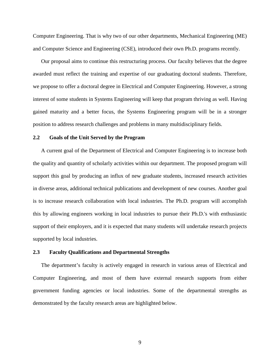Computer Engineering. That is why two of our other departments, Mechanical Engineering (ME) and Computer Science and Engineering (CSE), introduced their own Ph.D. programs recently.

 Our proposal aims to continue this restructuring process. Our faculty believes that the degree awarded must reflect the training and expertise of our graduating doctoral students. Therefore, we propose to offer a doctoral degree in Electrical and Computer Engineering. However, a strong interest of some students in Systems Engineering will keep that program thriving as well. Having gained maturity and a better focus, the Systems Engineering program will be in a stronger position to address research challenges and problems in many multidisciplinary fields.

## **2.2 Goals of the Unit Served by the Program**

 A current goal of the Department of Electrical and Computer Engineering is to increase both the quality and quantity of scholarly activities within our department. The proposed program will support this goal by producing an influx of new graduate students, increased research activities in diverse areas, additional technical publications and development of new courses. Another goal is to increase research collaboration with local industries. The Ph.D. program will accomplish this by allowing engineers working in local industries to pursue their Ph.D.'s with enthusiastic support of their employers, and it is expected that many students will undertake research projects supported by local industries.

## **2.3 Faculty Qualifications and Departmental Strengths**

 The department's faculty is actively engaged in research in various areas of Electrical and Computer Engineering, and most of them have external research supports from either government funding agencies or local industries. Some of the departmental strengths as demonstrated by the faculty research areas are highlighted below.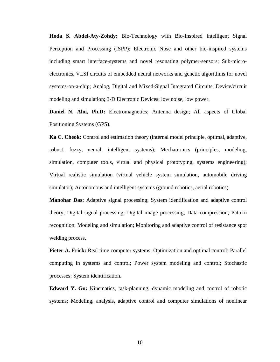**Hoda S. Abdel-Aty-Zohdy:** Bio-Technology with Bio-Inspired Intelligent Signal Perception and Processing (ISPP); Electronic Nose and other bio-inspired systems including smart interface-systems and novel resonating polymer-sensors; Sub-microelectronics, VLSI circuits of embedded neural networks and genetic algorithms for novel systems-on-a-chip; Analog, Digital and Mixed-Signal Integrated Circuits; Device/circuit modeling and simulation; 3-D Electronic Devices: low noise, low power.

**Daniel N. Aloi, Ph.D:** Electromagnetics; Antenna design; All aspects of Global Positioning Systems (GPS).

**Ka C. Cheok:** Control and estimation theory (internal model principle, optimal, adaptive, robust, fuzzy, neural, intelligent systems); Mechatronics (principles, modeling, simulation, computer tools, virtual and physical prototyping, systems engineering); Virtual realistic simulation (virtual vehicle system simulation, automobile driving simulator); Autonomous and intelligent systems (ground robotics, aerial robotics).

**Manohar Das:** Adaptive signal processing; System identification and adaptive control theory; Digital signal processing; Digital image processing; Data compression; Pattern recognition; Modeling and simulation; Monitoring and adaptive control of resistance spot welding process.

**Pieter A. Frick:** Real time computer systems; Optimization and optimal control; Parallel computing in systems and control; Power system modeling and control; Stochastic processes; System identification.

**Edward Y. Gu:** Kinematics, task-planning, dynamic modeling and control of robotic systems; Modeling, analysis, adaptive control and computer simulations of nonlinear

10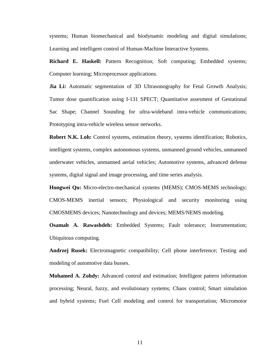systems; Human biomechanical and biodynamic modeling and digital simulations; Learning and intelligent control of Human-Machine Interactive Systems.

**Richard E. Haskell:** Pattern Recognition; Soft computing; Embedded systems; Computer learning; Microprocessor applications.

**Jia Li:** Automatic segmentation of 3D Ultrasonography for Fetal Growth Analysis; Tumor dose quantification using I-131 SPECT; Quantitative assesment of Gestational Sac Shape; Channel Sounding for ultra-wideband intra-vehicle communications; Prototyping intra-vehicle wireless sensor networks.

**Robert N.K. Loh:** Control systems, estimation theory, systems identification; Robotics, intelligent systems, complex autonomous systems, unmanned ground vehicles, unmanned underwater vehicles, unmanned aerial vehicles; Automotive systems, advanced defense systems, digital signal and image processing, and time series analysis.

**Hongwei Qu:** Micro-electro-mechanical systems (MEMS); CMOS-MEMS technology; CMOS-MEMS inertial sensors; Physiological and security monitoring using CMOSMEMS devices; Nanotechnology and devices; MEMS/NEMS modeling.

**Osamah A. Rawashdeh:** Embedded Systems; Fault tolerance; Instrumentation; Ubiquitous computing.

**Andrzej Rusek:** Electromagnetic compatibility; Cell phone interference; Testing and modeling of automotive data busses.

**Mohamed A. Zohdy:** Advanced control and estimation; Intelligent pattern information processing; Neural, fuzzy, and evolutionary systems; Chaos control; Smart simulation and hybrid systems; Fuel Cell modeling and control for transportation; Micromotor

11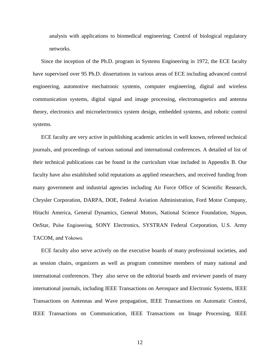analysis with applications to biomedical engineering; Control of biological regulatory networks.

 Since the inception of the Ph.D. program in Systems Engineering in 1972, the ECE faculty have supervised over 95 Ph.D. dissertations in various areas of ECE including advanced control engineering, automotive mechatronic systems, computer engineering, digital and wireless communication systems, digital signal and image processing, electromagnetics and antenna theory, electronics and microelectronics system design, embedded systems, and robotic control systems.

 ECE faculty are very active in publishing academic articles in well known, refereed technical journals, and proceedings of various national and international conferences. A detailed of list of their technical publications can be found in the curriculum vitae included in Appendix B. Our faculty have also established solid reputations as applied researchers, and received funding from many government and industrial agencies including Air Force Office of Scientific Research, Chrysler Corporation, DARPA, DOE, Federal Aviation Administration, Ford Motor Company, Hitachi America, General Dynamics, General Motors, National Science Foundation, Nippon, OnStar, Pulse Engineering, SONY Electronics, SYSTRAN Federal Corporation, U.S. Army TACOM, and Yokowo.

 ECE faculty also serve actively on the executive boards of many professional societies, and as session chairs, organizers as well as program committee members of many national and international conferences. They also serve on the editorial boards and reviewer panels of many international journals, including IEEE Transactions on Aerospace and Electronic Systems, IEEE Transactions on Antennas and Wave propagation, IEEE Transactions on Automatic Control, IEEE Transactions on Communication, IEEE Transactions on Image Processing, IEEE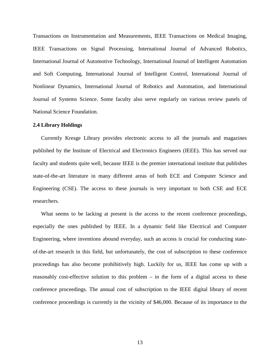Transactions on Instrumentation and Measurements, IEEE Transactions on Medical Imaging, IEEE Transactions on Signal Processing, International Journal of Advanced Robotics, International Journal of Automotive Technology, International Journal of Intelligent Automation and Soft Computing, International Journal of Intelligent Control, International Journal of Nonlinear Dynamics, International Journal of Robotics and Automation, and International Journal of Systems Science. Some faculty also serve regularly on various review panels of National Science Foundation.

#### **2.4 Library Holdings**

 Currently Kresge Library provides electronic access to all the journals and magazines published by the Institute of Electrical and Electronics Engineers (IEEE). This has served our faculty and students quite well, because IEEE is the premier international institute that publishes state-of-the-art literature in many different areas of both ECE and Computer Science and Engineering (CSE). The access to these journals is very important to both CSE and ECE researchers.

What seems to be lacking at present is the access to the recent conference proceedings, especially the ones published by IEEE. In a dynamic field like Electrical and Computer Engineering, where inventions abound everyday, such an access is crucial for conducting stateof-the-art research in this field, but unfortunately, the cost of subscription to these conference proceedings has also become prohibitively high. Luckily for us, IEEE has come up with a reasonably cost-effective solution to this problem – in the form of a digital access to these conference proceedings. The annual cost of subscription to the IEEE digital library of recent conference proceedings is currently in the vicinity of \$46,000. Because of its importance to the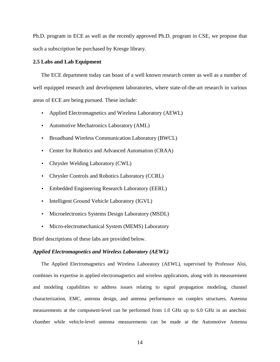Ph.D. program in ECE as well as the recently approved Ph.D. program in CSE, we propose that such a subscription be purchased by Kresge library.

## **2.5 Labs and Lab Equipment**

The ECE department today can boast of a well known research center as well as a number of well equipped research and development laboratories, where state-of-the-art research in various areas of ECE are being pursued. These include:

- Applied Electromagnetics and Wireless Laboratory (AEWL)
- Automotive Mechatronics Laboratory (AML)
- Broadband Wireless Communication Laboratory (BWCL)
- Center for Robotics and Advanced Automation (CRAA)
- Chrysler Welding Laboratory (CWL)
- Chrysler Controls and Robotics Laboratory (CCRL)
- Embedded Engineering Research Laboratory (EERL)
- Intelligent Ground Vehicle Laboratory (IGVL)
- Microelectronics Systems Design Laboratory (MSDL)
- Micro-electromechanical System (MEMS) Laboratory

Brief descriptions of these labs are provided below.

## *Applied Electromagnetics and Wireless Laboratory (AEWL)*

 The Applied Electromagnetics and Wireless Laboratory (AEWL), supervised by Professor Aloi, combines its expertise in applied electromagnetics and wireless applications, along with its measurement and modeling capabilities to address issues relating to signal propagation modeling, channel characterization, EMC, antenna design, and antenna performance on complex structures. Antenna measurements at the component-level can be performed from 1.0 GHz up to 6.0 GHz in an anechoic chamber while vehicle-level antenna measurements can be made at the Automotive Antenna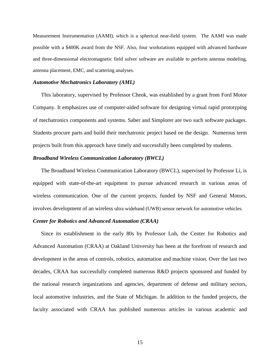Measurement Instrumentation (AAMI), which is a spherical near-field system. The AAMI was made possible with a \$400K award from the NSF. Also, four workstations equipped with advanced hardware and three-dimensional electromagnetic field solver software are available to perform antenna modeling, antenna placement, EMC, and scattering analyses.

## *Automotive Mechatronics Laboratory (AML)*

 This laboratory, supervised by Professor Cheok, was established by a grant from Ford Motor Company. It emphasizes use of computer-aided software for designing virtual rapid prototyping of mechatronics components and systems. Saber and Simplorer are two such software packages. Students procure parts and build their mechatronic project based on the design. Numerous term projects built from this approach have timely and successfully been completed by students.

### *Broadband Wireless Communication Laboratory (BWCL)*

 The Broadband Wireless Communication Laboratory (BWCL), supervised by Professor Li, is equipped with state-of-the-art equipment to pursue advanced research in various areas of wireless communication. One of the current projects, funded by NSF and General Motors, involves development of an wireless ultra wideband (UWB) sensor network for automotive vehicles.

## *Center for Robotics and Advanced Automation (CRAA)*

 Since its establishment in the early 80s by Professor Loh, the Center for Robotics and Advanced Automation (CRAA) at Oakland University has been at the forefront of research and development in the areas of controls, robotics, automation and machine vision. Over the last two decades, CRAA has successfully completed numerous R&D projects sponsored and funded by the national research organizations and agencies, department of defense and military sectors, local automotive industries, and the State of Michigan. In addition to the funded projects, the faculty associated with CRAA has published numerous articles in various academic and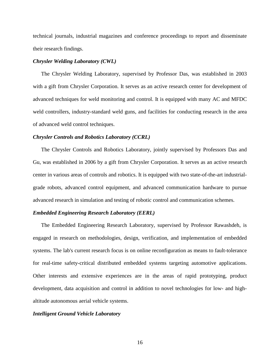technical journals, industrial magazines and conference proceedings to report and disseminate their research findings.

## *Chrysler Welding Laboratory (CWL)*

 The Chrysler Welding Laboratory, supervised by Professor Das, was established in 2003 with a gift from Chrysler Corporation. It serves as an active research center for development of advanced techniques for weld monitoring and control. It is equipped with many AC and MFDC weld controllers, industry-standard weld guns, and facilities for conducting research in the area of advanced weld control techniques.

#### *Chrysler Controls and Robotics Laboratory (CCRL)*

 The Chrysler Controls and Robotics Laboratory, jointly supervised by Professors Das and Gu, was established in 2006 by a gift from Chrysler Corporation. It serves as an active research center in various areas of controls and robotics. It is equipped with two state-of-the-art industrialgrade robots, advanced control equipment, and advanced communication hardware to pursue advanced research in simulation and testing of robotic control and communication schemes.

## *Embedded Engineering Research Laboratory (EERL)*

 The Embedded Engineering Research Laboratory, supervised by Professor Rawashdeh, is engaged in research on methodologies, design, verification, and implementation of embedded systems. The lab's current research focus is on online reconfiguration as means to fault-tolerance for real-time safety-critical distributed embedded systems targeting automotive applications. Other interests and extensive experiences are in the areas of rapid prototyping, product development, data acquisition and control in addition to novel technologies for low- and highaltitude autonomous aerial vehicle systems.

#### *Intelligent Ground Vehicle Laboratory*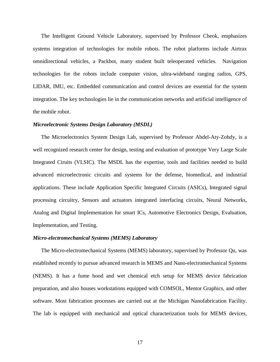The Intelligent Ground Vehicle Laboratory, supervised by Professor Cheok, emphasizes systems integration of technologies for mobile robots. The robot platforms include Airtrax omnidirectional vehicles, a Packbot, many student built teleoperated vehicles. Navigation technologies for the robots include computer vision, ultra-wideband ranging radios, GPS, LIDAR, IMU, etc. Embedded communication and control devices are essential for the system integration. The key technologies lie in the communication networks and artificial intelligence of the mobile robot.

#### *Microelectronic Systems Design Laboratory (MSDL)*

 The Microelectronics System Design Lab, supervised by Professor Abdel-Aty-Zohdy, is a well recognized research center for design, testing and evaluation of prototype Very Large Scale Integrated Ciruits (VLSIC). The MSDL has the expertise, tools and facilities needed to build advanced microelectronic circuits and systems for the defense, biomedical, and industrial applications. These include Application Specific Integrated Circuits (ASICs), Integrated signal processing circuitry, Sensors and actuators integrated interfacing circuits, Neural Networks, Analog and Digital Implementation for smart ICs, Automotive Electronics Design, Evaluation, Implementation, and Testing.

## *Micro-electromechanical Systems (MEMS) Laboratory*

 The Micro-electromechanical Systems (MEMS) laboratory, supervised by Professor Qu, was established recently to pursue advanced research in MEMS and Nano-electromechanical Systems (NEMS). It has a fume hood and wet chemical etch setup for MEMS device fabrication preparation, and also houses workstations equipped with COMSOL, Mentor Graphics, and other software. Most fabrication processes are carried out at the Michigan Nanofabrication Facility. The lab is equipped with mechanical and optical characterization tools for MEMS devices,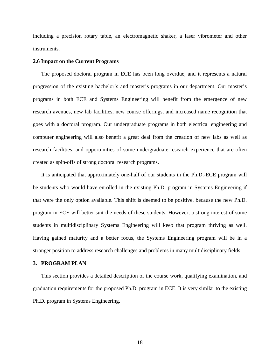including a precision rotary table, an electromagnetic shaker, a laser vibrometer and other instruments.

## **2.6 Impact on the Current Programs**

 The proposed doctoral program in ECE has been long overdue, and it represents a natural progression of the existing bachelor's and master's programs in our department. Our master's programs in both ECE and Systems Engineering will benefit from the emergence of new research avenues, new lab facilities, new course offerings, and increased name recognition that goes with a doctoral program. Our undergraduate programs in both electrical engineering and computer engineering will also benefit a great deal from the creation of new labs as well as research facilities, and opportunities of some undergraduate research experience that are often created as spin-offs of strong doctoral research programs.

 It is anticipated that approximately one-half of our students in the Ph.D.-ECE program will be students who would have enrolled in the existing Ph.D. program in Systems Engineering if that were the only option available. This shift is deemed to be positive, because the new Ph.D. program in ECE will better suit the needs of these students. However, a strong interest of some students in multidisciplinary Systems Engineering will keep that program thriving as well. Having gained maturity and a better focus, the Systems Engineering program will be in a stronger position to address research challenges and problems in many multidisciplinary fields.

## **3. PROGRAM PLAN**

 This section provides a detailed description of the course work, qualifying examination, and graduation requirements for the proposed Ph.D. program in ECE. It is very similar to the existing Ph.D. program in Systems Engineering.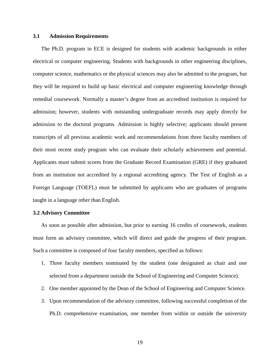## **3.1 Admission Requirements**

 The Ph.D. program in ECE is designed for students with academic backgrounds in either electrical or computer engineering. Students with backgrounds in other engineering disciplines, computer science, mathematics or the physical sciences may also be admitted to the program, but they will be required to build up basic electrical and computer engineering knowledge through remedial coursework. Normally a master's degree from an accredited institution is required for admission; however, students with outstanding undergraduate records may apply directly for admission to the doctoral programs. Admission is highly selective; applicants should present transcripts of all previous academic work and recommendations from three faculty members of their most recent study program who can evaluate their scholarly achievement and potential. Applicants must submit scores from the Graduate Record Examination (GRE) if they graduated from an institution not accredited by a regional accrediting agency. The Test of English as a Foreign Language (TOEFL) must be submitted by applicants who are graduates of programs taught in a language other than English.

## **3.2 Advisory Committee**

 As soon as possible after admission, but prior to earning 16 credits of coursework, students must form an advisory committee, which will direct and guide the progress of their program. Such a committee is composed of four faculty members, specified as follows:

- 1. Three faculty members nominated by the student (one designated as chair and one selected from a department outside the School of Engineering and Computer Science).
- 2. One member appointed by the Dean of the School of Engineering and Computer Science.
- 3. Upon recommendation of the advisory committee, following successful completion of the Ph.D. comprehensive examination, one member from within or outside the university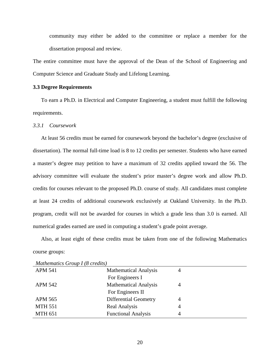community may either be added to the committee or replace a member for the dissertation proposal and review.

The entire committee must have the approval of the Dean of the School of Engineering and Computer Science and Graduate Study and Lifelong Learning.

## **3.3 Degree Requirements**

 To earn a Ph.D. in Electrical and Computer Engineering, a student must fulfill the following requirements.

## *3.3.1 Coursework*

 At least 56 credits must be earned for coursework beyond the bachelor's degree (exclusive of dissertation). The normal full-time load is 8 to 12 credits per semester. Students who have earned a master's degree may petition to have a maximum of 32 credits applied toward the 56. The advisory committee will evaluate the student's prior master's degree work and allow Ph.D. credits for courses relevant to the proposed Ph.D. course of study. All candidates must complete at least 24 credits of additional coursework exclusively at Oakland University. In the Ph.D. program, credit will not be awarded for courses in which a grade less than 3.0 is earned. All numerical grades earned are used in computing a student's grade point average.

 Also, at least eight of these credits must be taken from one of the following Mathematics course groups:

| <i>Mamemancs</i> Group I to creatist |                              |   |  |  |
|--------------------------------------|------------------------------|---|--|--|
| <b>APM 541</b>                       | <b>Mathematical Analysis</b> | 4 |  |  |
|                                      | For Engineers I              |   |  |  |
| <b>APM 542</b>                       | <b>Mathematical Analysis</b> |   |  |  |
|                                      | For Engineers II             |   |  |  |
| <b>APM 565</b>                       | <b>Differential Geometry</b> | 4 |  |  |
| <b>MTH 551</b>                       | Real Analysis                | 4 |  |  |
| <b>MTH 651</b>                       | <b>Functional Analysis</b>   | 4 |  |  |
|                                      |                              |   |  |  |

*Mathematics Group I (8 credits)*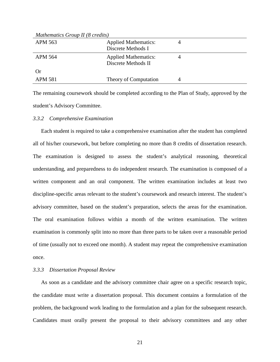| Mathematics Group II (8 credits) |                                                    |  |  |  |  |
|----------------------------------|----------------------------------------------------|--|--|--|--|
| APM 563                          | <b>Applied Mathematics:</b><br>Discrete Methods I  |  |  |  |  |
| APM 564                          | <b>Applied Mathematics:</b><br>Discrete Methods II |  |  |  |  |
| Or                               |                                                    |  |  |  |  |
| <b>APM 581</b>                   | Theory of Computation                              |  |  |  |  |

The remaining coursework should be completed according to the Plan of Study, approved by the student's Advisory Committee.

#### *3.3.2 Comprehensive Examination*

 Each student is required to take a comprehensive examination after the student has completed all of his/her coursework, but before completing no more than 8 credits of dissertation research. The examination is designed to assess the student's analytical reasoning, theoretical understanding, and preparedness to do independent research. The examination is composed of a written component and an oral component. The written examination includes at least two discipline-specific areas relevant to the student's coursework and research interest. The student's advisory committee, based on the student's preparation, selects the areas for the examination. The oral examination follows within a month of the written examination. The written examination is commonly split into no more than three parts to be taken over a reasonable period of time (usually not to exceed one month). A student may repeat the comprehensive examination once.

## *3.3.3 Dissertation Proposal Review*

 As soon as a candidate and the advisory committee chair agree on a specific research topic, the candidate must write a dissertation proposal. This document contains a formulation of the problem, the background work leading to the formulation and a plan for the subsequent research. Candidates must orally present the proposal to their advisory committees and any other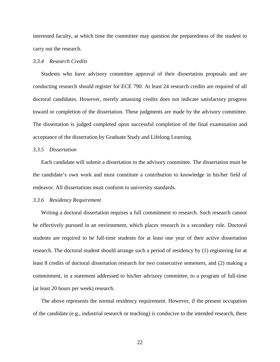interested faculty, at which time the committee may question the preparedness of the student to carry out the research.

## *3.3.4 Research Credits*

 Students who have advisory committee approval of their dissertation proposals and are conducting research should register for ECE 790. At least 24 research credits are required of all doctoral candidates. However, merely amassing credits does not indicate satisfactory progress toward or completion of the dissertation. These judgments are made by the advisory committee. The dissertation is judged completed upon successful completion of the final examination and acceptance of the dissertation by Graduate Study and Lifelong Learning.

### *3.3.5 Dissertation*

 Each candidate will submit a dissertation to the advisory committee. The dissertation must be the candidate's own work and must constitute a contribution to knowledge in his/her field of endeavor. All dissertations must conform to university standards.

#### *3.3.6 Residency Requirement*

 Writing a doctoral dissertation requires a full commitment to research. Such research cannot be effectively pursued in an environment, which places research in a secondary role. Doctoral students are required to be full-time students for at least one year of their active dissertation research. The doctoral student should arrange such a period of residency by (1) registering for at least 8 credits of doctoral dissertation research for two consecutive semesters, and (2) making a commitment, in a statement addressed to his/her advisory committee, to a program of full-time (at least 20 hours per week) research.

 The above represents the normal residency requirement. However, if the present occupation of the candidate (e.g., industrial research or teaching) is conducive to the intended research, there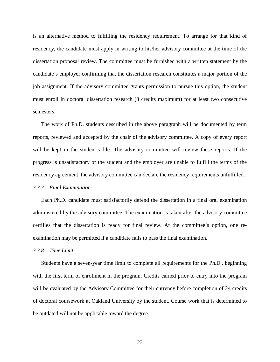is an alternative method to fulfilling the residency requirement. To arrange for that kind of residency, the candidate must apply in writing to his/her advisory committee at the time of the dissertation proposal review. The committee must be furnished with a written statement by the candidate's employer confirming that the dissertation research constitutes a major portion of the job assignment. If the advisory committee grants permission to pursue this option, the student must enroll in doctoral dissertation research (8 credits maximum) for at least two consecutive semesters.

 The work of Ph.D. students described in the above paragraph will be documented by term reports, reviewed and accepted by the chair of the advisory committee. A copy of every report will be kept in the student's file. The advisory committee will review these reports. If the progress is unsatisfactory or the student and the employer are unable to fulfill the terms of the residency agreement, the advisory committee can declare the residency requirements unfulfilled.

## *3.3.7 Final Examination*

 Each Ph.D. candidate must satisfactorily defend the dissertation in a final oral examination administered by the advisory committee. The examination is taken after the advisory committee certifies that the dissertation is ready for final review. At the committee's option, one reexamination may be permitted if a candidate fails to pass the final examination.

#### *3.3.8 Time Limit*

 Students have a seven-year time limit to complete all requirements for the Ph.D., beginning with the first term of enrollment in the program. Credits earned prior to entry into the program will be evaluated by the Advisory Committee for their currency before completion of 24 credits of doctoral coursework at Oakland University by the student. Course work that is determined to be outdated will not be applicable toward the degree.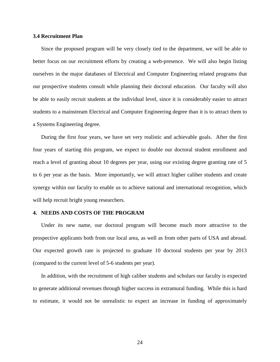## **3.4 Recruitment Plan**

 Since the proposed program will be very closely tied to the department, we will be able to better focus on our recruitment efforts by creating a web-presence. We will also begin listing ourselves in the major databases of Electrical and Computer Engineering related programs that our prospective students consult while planning their doctoral education. Our faculty will also be able to easily recruit students at the individual level, since it is considerably easier to attract students to a mainstream Electrical and Computer Engineering degree than it is to attract them to a Systems Engineering degree.

 During the first four years, we have set very realistic and achievable goals. After the first four years of starting this program, we expect to double our doctoral student enrollment and reach a level of granting about 10 degrees per year, using our existing degree granting rate of 5 to 6 per year as the basis. More importantly, we will attract higher caliber students and create synergy within our faculty to enable us to achieve national and international recognition, which will help recruit bright young researchers.

#### **4. NEEDS AND COSTS OF THE PROGRAM**

 Under its new name, our doctoral program will become much more attractive to the prospective applicants both from our local area, as well as from other parts of USA and abroad. Our expected growth rate is projected to graduate 10 doctoral students per year by 2013 (compared to the current level of 5-6 students per year).

 In addition, with the recruitment of high caliber students and scholars our faculty is expected to generate additional revenues through higher success in extramural funding. While this is hard to estimate, it would not be unrealistic to expect an increase in funding of approximately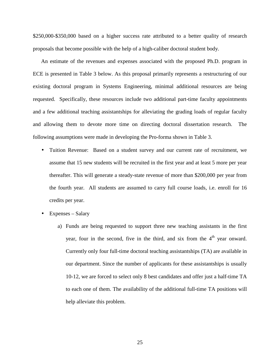\$250,000-\$350,000 based on a higher success rate attributed to a better quality of research proposals that become possible with the help of a high-caliber doctoral student body.

 An estimate of the revenues and expenses associated with the proposed Ph.D. program in ECE is presented in Table 3 below. As this proposal primarily represents a restructuring of our existing doctoral program in Systems Engineering, minimal additional resources are being requested. Specifically, these resources include two additional part-time faculty appointments and a few additional teaching assistantships for alleviating the grading loads of regular faculty and allowing them to devote more time on directing doctoral dissertation research. The following assumptions were made in developing the Pro-forma shown in Table 3.

- Tuition Revenue: Based on a student survey and our current rate of recruitment, we assume that 15 new students will be recruited in the first year and at least 5 more per year thereafter. This will generate a steady-state revenue of more than \$200,000 per year from the fourth year. All students are assumed to carry full course loads, i.e. enroll for 16 credits per year.
- Expenses Salary
	- a) Funds are being requested to support three new teaching assistants in the first year, four in the second, five in the third, and six from the  $4<sup>th</sup>$  year onward. Currently only four full-time doctoral teaching assistantships (TA) are available in our department. Since the number of applicants for these assistantships is usually 10-12, we are forced to select only 8 best candidates and offer just a half-time TA to each one of them. The availability of the additional full-time TA positions will help alleviate this problem.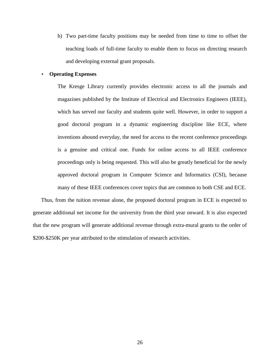b) Two part-time faculty positions may be needed from time to time to offset the teaching loads of full-time faculty to enable them to focus on directing research and developing external grant proposals.

## • **Operating Expenses**

The Kresge Library currently provides electronic access to all the journals and magazines published by the Institute of Electrical and Electronics Engineers (IEEE), which has served our faculty and students quite well. However, in order to support a good doctoral program in a dynamic engineering discipline like ECE, where inventions abound everyday, the need for access to the recent conference proceedings is a genuine and critical one. Funds for online access to all IEEE conference proceedings only is being requested. This will also be greatly beneficial for the newly approved doctoral program in Computer Science and Informatics (CSI), because many of these IEEE conferences cover topics that are common to both CSE and ECE.

 Thus, from the tuition revenue alone, the proposed doctoral program in ECE is expected to generate additional net income for the university from the third year onward. It is also expected that the new program will generate additional revenue through extra-mural grants to the order of \$200-\$250K per year attributed to the stimulation of research activities.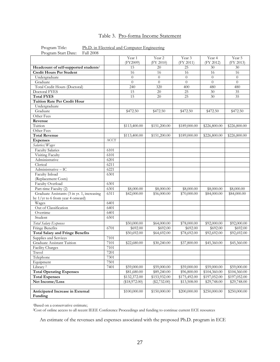# Table 3. Pro-forma Income Statement

| 1 IVEIAIII Otalt Date.                            |             |                    |                     |                         |                          |                     |
|---------------------------------------------------|-------------|--------------------|---------------------|-------------------------|--------------------------|---------------------|
|                                                   |             | Year 1<br>(FY2009) | Year 2<br>(FY 2010) | Year 3<br>(FY 2011)     | Year 4<br>(FY 2012)      | Year 5<br>(FY 2013) |
| Headcount of self-supported students <sup>1</sup> |             | 15                 | 20                  | 25                      | 30                       | $30\,$              |
| <b>Credit Hours Per Student</b>                   |             | 16                 | 16                  | 16                      | 16                       | 16                  |
| Undergraduate                                     |             | $\theta$           | $\theta$            | $\overline{0}$          | $\theta$                 | $\overline{0}$      |
| Graduate                                          |             | $\theta$           | $\overline{0}$      | $\theta$                | $\overline{0}$           | $\theta$            |
| Total Credit Hours (Doctoral)                     |             | 240                | 320                 | 400                     | 480                      | 480                 |
| Doctoral FYES                                     |             | 15                 | 20                  | 25                      | 30                       | $\overline{35}$     |
| <b>Total FYES</b>                                 |             | 15                 | 20                  | 25                      | 30                       | 35                  |
| <b>Tuition Rate Per Credit Hour</b>               |             |                    |                     |                         |                          |                     |
| Undergraduate                                     |             |                    |                     |                         |                          |                     |
| Graduate                                          |             | \$472.50           | \$472.50            | \$472.50                | \$472.50                 | \$472.50            |
| Other Fees                                        |             |                    |                     |                         |                          |                     |
| Revenue                                           |             |                    |                     |                         |                          |                     |
| Tuition                                           |             |                    |                     |                         |                          |                     |
| Other Fees                                        |             | \$113,400.00       | \$151,200.00        | \$189,000.00            | \$226,800.00             | \$226,800.00        |
| <b>Total Revenue</b>                              |             |                    |                     |                         |                          |                     |
|                                                   | <b>ACCT</b> | \$113,400.00       | \$151,200.00        | \$189,000.00            | \$226,800.00             | \$226,800.00        |
| <b>Expenses</b>                                   |             |                    |                     |                         |                          |                     |
| Salaries/Wages                                    |             |                    |                     |                         |                          |                     |
| Faculty Salaries                                  | 6101        |                    |                     |                         |                          |                     |
| Visiting Faculty                                  | 6101        |                    |                     |                         |                          |                     |
| Administrative                                    | 6201        |                    |                     |                         |                          |                     |
| Clerical                                          | 6211        |                    |                     |                         |                          |                     |
| Administrative - IC                               | 6221        |                    |                     |                         |                          |                     |
| Faculty Inload                                    | 6301        |                    |                     |                         |                          |                     |
| (Replacement Costs)                               |             |                    |                     |                         |                          |                     |
| <b>Faculty Overload</b>                           | 6301        |                    |                     |                         |                          |                     |
| Part-time Faculty (2)                             | 6301        | \$8,000.00         | \$8,000.00          | \$8,000.00              | \$8,000.00               | \$8,000.00          |
| Graduate Assistants (3 in yr. 1, increasing       | 6311        | \$42,000.00        | \$56,000.00         | \$70,000.00             | \$84,000.00              | \$84,000.00         |
| by $1/yr$ to 6 from year 4 onward)                |             |                    |                     |                         |                          |                     |
| Wages                                             | 6401        |                    |                     |                         |                          |                     |
| Out of Classification                             | 6401        |                    |                     |                         |                          |                     |
| Overtime                                          | 6401        |                    |                     |                         |                          |                     |
| Student                                           | 6501        |                    |                     |                         |                          |                     |
| Total Salary Expenses                             |             | \$50,000.00        | \$64,000.00         | \$78,000.00             | \$92,000.00              | \$92,000.00         |
| Fringe Benefits                                   | 6701        | \$692.00           | \$692.00            | \$692.00                | \$692.00                 | \$692.00            |
| <b>Total Salary and Fringe Benefits</b>           |             | \$50,692.00        | \$64,692.00         | \$78,692.00             | \$92,692.00              | \$92,692.00         |
| Supplies and Services                             | 7101        |                    |                     |                         |                          |                     |
| Graduate Assistant Tuition                        | 7101        | \$22,680.00        | \$30,240.00         | \$37,800.00             | \$45,360.00              | \$45,360.00         |
| Facility Charges                                  | 7101        |                    |                     |                         |                          |                     |
| Travel                                            | 7201        |                    |                     |                         |                          |                     |
| Telephone                                         | 7301        |                    |                     |                         |                          |                     |
| Equipment                                         | 7501        |                    |                     |                         |                          |                     |
| Library <sup>2</sup>                              | 7401        | \$59,000.00        | \$59,000.00         | \$59,000.00             | \$59,000.00              | \$59,000.00         |
| <b>Total Operating Expenses</b>                   |             | \$81,680.00        | \$89,240.00         | $\overline{$96,800.00}$ | $\overline{$104,360.00}$ | \$104,360.00        |
| <b>Total Expenses</b>                             |             | \$132,372.00       | \$153,932.00        | \$175,492.00            | \$197,052.00             | \$197,052.00        |
| Net Income/Loss                                   |             | $(*18,972.00)$     | $(\$2,732.00)$      | \$13,508.00             | \$29,748.00              | \$29,748.00         |
|                                                   |             |                    |                     |                         |                          |                     |
| Anticipated Increase in External                  |             | \$100,000.00       | \$150,000.00        | \$200,000.00            | \$250,000.00             | \$250,000.00        |
| Funding                                           |             |                    |                     |                         |                          |                     |

Program Title: Ph.D. in Electrical and Computer Engineering<br>Program Start Date: Fall 2008 Program Start Date:

<sup>1</sup>Based on a conservative estimate;

<sup>2</sup>Cost of online access to all recent IEEE Conference Proceedings and funding to continue current ECE resources

An estimate of the revenues and expenses associated with the proposed Ph.D. program in ECE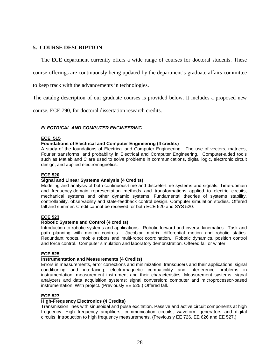# **5. COURSE DESCRIPTION**

The ECE department currently offers a wide range of courses for doctoral students. These

course offerings are continuously being updated by the department's graduate affairs committee

to keep track with the advancements in technologies.

The catalog description of our graduate courses is provided below. It includes a proposed new

course, ECE 790, for doctoral dissertation research credits.

### **ELECTRICAL AND COMPUTER ENGINEERING**

#### **ECE 515**

### **Foundations of Electrical and Computer Engineering (4 credits)**

A study of the foundations of Electrical and Computer Engineering. The use of vectors, matrices, Fourier transforms, and probability in Electrical and Computer Engineering. Computer-aided tools such as Matlab and C are used to solve problems in communications, digital logic, electronic circuit design, and applied electromagnetics.

#### **ECE 520**

### **Signal and Linear Systems Analysis (4 Credits)**

Modeling and analysis of both continuous-time and discrete-time systems and signals. Time-domain and frequency-domain representation methods and transformations applied to electric circuits, mechanical systems and other dynamic systems. Fundamental theories of systems stability, controllability, observability and state-feedback control design. Computer simulation studies. Offered fall and summer. Credit cannot be received for both ECE 520 and SYS 520.

#### **ECE 523**

#### **Robotic Systems and Control (4 credits)**

Introduction to robotic systems and applications. Robotic forward and inverse kinematics. Task and path planning with motion controls. Jacobian matrix, differential motion and robotic statics. Redundant robots, mobile robots and multi-robot coordination. Robotic dynamics, position control and force control. Computer simulation and laboratory demonstration. Offered fall or winter.

#### **ECE 525**

#### **Instrumentation and Measurements (4 Credits)**

Errors in measurements, error corrections and minimization; transducers and their applications; signal conditioning and interfacing; electromagnetic compatibility and interference problems in instrumentation; measurement instrument and their characteristics. Measurement systems, signal analyzers and data acquisition systems; signal conversion; computer and microprocessor-based instrumentation. With project. (Previously EE 525.) Offered fall.

#### **ECE 527**

## **High-Frequency Electronics (4 Credits)**

Transmission lines with sinusoidal and pulse excitation. Passive and active circuit components at high frequency. High frequency amplifiers, communication circuits, waveform generators and digital circuits. Introduction to high frequency measurements. (Previously EE 726, EE 626 and EE 527.)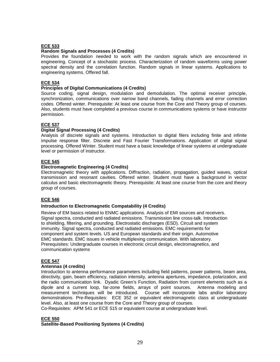## **ECE 533**

#### **Random Signals and Processes (4 Credits)**

Provides the foundation needed to work with the random signals which are encountered in engineering. Concept of a stochastic process. Characterization of random waveforms using power spectral density and the correlation function. Random signals in linear systems. Applications to engineering systems. Offered fall.

## **ECE 534**

#### **Principles of Digital Communications (4 Credits)**

Source coding, signal design, modulation and demodulation. The optimal receiver principle, synchronization, communications over narrow band channels, fading channels and error correction codes. Offered winter. Prerequisite: At least one course from the Core and Theory group of courses. Also, students must have completed a previous course in communications systems or have instructor permission.

## **ECE 537**

## **Digital Signal Processing (4 Credits)**

Analysis of discrete signals and systems. Introduction to digital filers including finite and infinite impulse response filter. Discrete and Fast Fourier Transformations. Application of digital signal processing. Offered Winter. Student must have a basic knowledge of linear systems at undergraduate level or permission of instructor.

### **ECE 545**

### **Electromagnetic Engineering (4 Credits)**

Electromagnetic theory with applications. Diffraction, radiation, propagation, guided waves, optical transmission and resonant cavities. Offered winter. Student must have a background in vector calculus and basic electromagnetic theory. Prerequisite: At least one course from the core and theory group of courses.

## **ECE 546**

#### **Introduction to Electromagnetic Compatability (4 Credits)**

Review of EM basics related to ENMC applications. Analysis of EMI sources and receivers. Signal spectra, conducted and radiated emissions. Transmission line cross-talk. Introduction to shielding, filtering, and grounding. Electrostatic discharges (ESD). Circuit and system immunity. Signal spectra, conducted and radiated emissions. EMC requirements for component and system levels. US and European standards and their origin. Automotive EMC standards. EMC issues in vehicle multiplexing communication. With laboratory. Prerequisites: Undergraduate courses in electronic circuit design, electromagnetics, and communication systems

#### **ECE 547**

#### **Antennas (4 credits)**

Introduction to antenna performance parameters including field patterns, power patterns, beam area, directivity, gain, beam efficiency, radiation intensity, antenna apertures, impedance, polarization, and the radio communication link. Dyadic Green's Function, Radiation from current elements such as a dipole and a current loop, far-zone fields, arrays of point sources. Antenna modeling and measurement techniques will be introduced. Course will incorporate labs and/or laboratory demonstrations. Pre-Requisites: ECE 352 or equivalent electromagnetic class at undergraduate level. Also, at least one course from the Core and Theory group of courses.

Co-Requisites: APM 541 or ECE 515 or equivalent course at undergraduate level.

#### **ECE 550**

#### **Satellite-Based Positioning Systems (4 Credits)**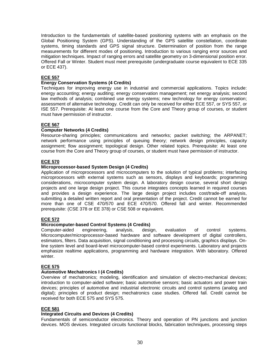Introduction to the fundamentals of satellite-based positioning systems with an emphasis on the Global Positioning System (GPS). Understanding of the GPS satellite constellation, coordinate systems, timing standards and GPS signal structure. Determination of position from the range measurements for different modes of positioning. Introduction to various ranging error sources and mitigation techniques. Impact of ranging errors and satellite geometry on 3-dimensional position error. Offered Fall or Winter. Student must meet prerequisite (undergraduate course equivalent to ECE 335 or ECE 437).

### **ECE 557**

### **Energy Conservation Systems (4 Credits)**

Techniques for improving energy use in industrial and commercial applications. Topics include: energy accounting; energy auditing; energy conservation management; net energy analysis; second law methods of analysis; combined use energy systems; new technology for energy conservation; assessment of alternative technology. Credit can only be received for either ECE 557, or SYS 557, or ISE 557. Prerequisite: At least one course from the Core and Theory group of courses, or student must have permission of instructor.

### **ECE 567**

### **Computer Networks (4 Credits)**

Resource-sharing principles; communications and networks; packet switching; the ARPANET; network performance using principles of queuing theory; network design principles, capacity assignment; flow assignment; topological design. Other related topics. Prerequisite: At least one course from the Core and Theory group of courses, or student must have permission of instructor.

#### **ECE 570**

### **Microprocessor-based System Design (4 Credits)**

Application of microprocessors and microcomputers to the solution of typical problems; interfacing microprocessors with external systems such as sensors, displays and keyboards; programming considerations, microcomputer system design. A laboratory design course, several short design projects and one large design project. This course integrates concepts learned in required courses and provides a design experience. The large design project includes cost/trade-off analysis, submitting a detailed written report and oral presentation of the project. Credit cannot be earned for more than one of CSE 470/570 and ECE 470/570. Offered fall and winter. Recommended prerequisite: (CSE 378 or EE 378) or CSE 508 or equivalent.

## **ECE 572**

## **Microcomputer-based Control Systems (4 Credits)**

Computer-aided engineering, analysis, design, evaluation of control systems. Microcomputer/microprocessor-based hardware and software development of digital controllers, estimators, filters. Data acquisition, signal conditioning and processing circuits, graphics displays. Online system level and board-level microcomputer-based control experiments. Laboratory and projects emphasize realtime applications, programming and hardware integration. With laboratory. Offered winter.

#### **ECE 575**

#### **Automotive Mechatronics I (4 Credits)**

Overview of mechatronics; modeling, identification and simulation of electro-mechanical devices; introduction to computer-aided software; basic automotive sensors; basic actuators and power train devices; principles of automotive and industrial electronic circuits and control systems (analog and digital); principles of product design; mechatronics case studies. Offered fall. Credit cannot be received for both ECE 575 and SYS 575.

#### **ECE 581**

## **Integrated Circuits and Devices (4 Credits)**

Fundamentals of semiconductor electronics. Theory and operation of PN junctions and junction devices. MOS devices. Integrated circuits functional blocks, fabrication techniques, processing steps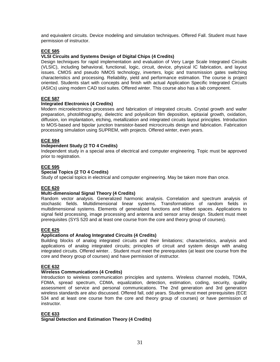and equivalent circuits. Device modeling and simulation techniques. Offered Fall. Student must have permission of instructor.

## **ECE 585**

## **VLSI Circuits and Systems Design of Digital Chips (4 Credits)**

Design techniques for rapid implementation and evaluation of Very Large Scale Integrated Circuits (VLSIC), including behavioral, functional, logic, circuit, device, physical IC fabrication, and layout issues. CMOS and pseudo NMOS technology, inverters, logic and transmission gates switching characteristics and processing. Reliability, yield and performance estimation. The course is project oriented. Students start with concepts and finish with actual Application Specific Integrated Circuits (ASICs) using modern CAD tool suites. Offered winter. This course also has a lab component.

### **ECE 587**

#### **Integrated Electronics (4 Credits)**

Modern microelectronics processes and fabrication of integrated circuits. Crystal growth and wafer preparation, photolithography, dielectric and polysilicon film deposition, epitaxial growth, oxidation, diffusion, ion implantation, etching, metallization and integrated circuits layout principles. Introduction to MOS-based and bipolar junction transistor-based microcircuits design and fabrication. Fabrication processing simulation using SUPREM, with projects. Offered winter, even years.

## **ECE 594**

### **Independent Study (2 TO 4 Credits)**

Independent study in a special area of electrical and computer engineering. Topic must be approved prior to registration.

## **ECE 595**

### **Special Topics (2 TO 4 Credits)**

Study of special topics in electrical and computer engineering. May be taken more than once.

#### **ECE 620**

#### **Multi-dimensional Signal Theory (4 Credits)**

Random vector analysis. Generalized harmonic analysis. Correlation and spectrum analysis of stochastic fields. Multidimensional linear systems. Transformations of random fields in multidimensional systems. Elements of generalized functions and Hilbert spaces. Applications to signal field processing, image processing and antenna and sensor array design. Student must meet prerequisites (SYS 520 and at least one course from the core and theory group of courses).

#### **ECE 625**

#### **Applications of Analog Integrated Circuits (4 Credits)**

Building blocks of analog integrated circuits and their limitations; characteristics, analysis and applications of analog integrated circuits; principles of circuit and system design with analog integrated circuits. Offered winter. . Student must meet the prerequisites (at least one course from the core and theory group of courses) and have permission of instructor.

#### **ECE 632**

#### **Wireless Communications (4 Credits)**

Introduction to wireless communication principles and systems. Wireless channel models, TDMA, FDMA, spread spectrum, CDMA, equalization, detection, estimation, coding, security, quality assessment of service and personal communications. The 2nd generation and 3rd generation wireless standards are also discussed. Offered fall, odd years. Student must meet prerequisites (ECE 534 and at least one course from the core and theory group of courses) or have permission of instructor.

#### **ECE 633**

**Signal Detection and Estimation Theory (4 Credits)**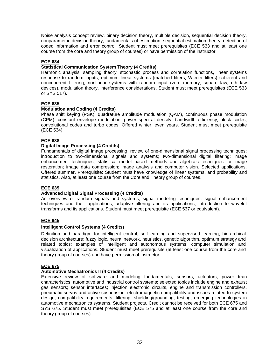Noise analysis concept review, binary decision theory, multiple decision, sequential decision theory, nonparametric decision theory, fundamentals of estimation, sequential estimation theory, detection of coded information and error control. Student must meet prerequisites (ECE 533 and at least one course from the core and theory group of courses) or have permission of the instructor.

## **ECE 634**

## **Statistical Communication System Theory (4 Credits)**

Harmonic analysis, sampling theory, stochastic process and correlation functions, linear systems response to random inputs, optimum linear systems (matched filters, Wiener filters) coherent and noncoherent filtering, nonlinear systems with random input (zero memory, square law, nth law devices), modulation theory, interference considerations. Student must meet prerequisites (ECE 533 or SYS 517).

### **ECE 635**

### **Modulation and Coding (4 Credits)**

Phase shift keying (PSK), quadrature amplitude modulation (QAM), continuous phase modulation (CPM), constant envelope modulation, power spectral density, bandwidth efficiency, block codes, convolutional codes and turbo codes. Offered winter, even years. Student must meet prerequisite (ECE 534).

## **ECE 638**

### **Digital Image Processing (4 Credits)**

Fundamentals of digital image processing; review of one-dimensional signal processing techniques; introduction to two-dimensional signals and systems; two-dimensional digital filtering; image enhancement techniques; statistical model based methods and algebraic techniques for image restoration; image data compression; image analysis and computer vision. Selected applications. Offered summer. Prerequisite: Student must have knowledge of linear systems, and probability and statistics. Also, at least one course from the Core and Theory group of courses.

#### **ECE 639**

#### **Advanced Digital Signal Processing (4 Credits)**

An overview of random signals and systems; signal modeling techniques, signal enhancement techniques and their applications; adaptive filtering and its applications; introduction to wavelet transforms and its applications. Student must meet prerequisite (ECE 537 or equivalent).

#### **ECE 645**

#### **Intelligent Control Systems (4 Credits)**

Definition and paradigm for intelligent control; self-learning and supervised learning; hierarchical decision architecture; fuzzy logic, neural network, heuristics, genetic algorithm, optimum strategy and related topics; examples of intelligent and autonomous systems; computer simulation and visualization of applications. Student must meet prerequisite (at least one course from the core and theory group of courses) and have permission of instructor.

#### **ECE 675**

#### **Automotive Mechatronics II (4 Credits)**

Extensive review of software and modeling fundamentals, sensors, actuators, power train characteristics, automotive and industrial control systems; selected topics include engine and exhaust gas sensors; sensor interfaces; injection electronic circuits, engine and transmission controllers, pneumatic servos and active suspension; electromagnetic compatibility and issues related to system design, compatibility requirements, filtering, shielding/grounding, testing; emerging technologies in automotive mechatronics systems. Student projects. Credit cannot be received for both ECE 675 and SYS 675. Student must meet prerequisites (ECE 575 and at least one course from the core and theory group of courses).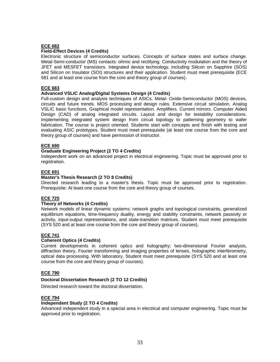## **ECE 682**

## **Field-Effect Devices (4 Credits)**

Electronic structure of semiconductor surfaces. Concepts of surface states and surface change. Metal-Semi-conductor (MS) contacts: ohmic and rectifying. Conductivity modulation and the theory of JFET and MESFET transistors. Integrated device technology, including Silicon on Sapphire (SOS) and Silicon on Insulator (SOI) structures and their application. Student must meet prerequisite (ECE 581 and at least one course from the core and theory group of courses).

### **ECE 683**

## **Advanced VSLIC Analog/Digital Systems Design (4 Credits)**

Full-custom design and analysis techniques of ASICs. Metal- Oxide-Semiconductor (MOS) devices, circuits and future trends. MOS processing and design rules. Extensive circuit simulation. Analog VSLIC basic functions. Graphical model representation. Amplifiers. Current mirrors. Computer Aided Design (CAD) of analog integrated circuits. Layout and design for testability considerations. Implementing integrated system design from circuit topology to patterning geometry to wafer fabrication. The course is project oriented. Students start with concepts and finish with testing and evaluating ASIC prototypes. Student must meet prerequisite (at least one course from the core and theory group of courses) and have permission of instructor.

### **ECE 690**

### **Graduate Engineering Project (2 TO 4 Credits)**

Independent work on an advanced project in electrical engineering. Topic must be approved prior to registration.

### **ECE 691**

### **Master's Thesis Research (2 TO 8 Credits)**

Directed research leading to a master's thesis. Topic must be approved prior to registration. Prerequisite: At least one course from the core and theory group of courses.

#### **ECE 725**

#### **Theory of Networks (4 Credits)**

Network models of linear dynamic systems; network graphs and topological constraints, generalized equilibrium equations, time-frequency duality, energy and stability constraints, network passivity or activity, input-output representations, and state-transition matrices. Student must meet prerequisite (SYS 520 and at least one course from the core and theory group of courses).

#### **ECE 741**

#### **Coherent Optics (4 Credits)**

Current developments in coherent optics and holography; two-dimensional Fourier analysis, diffraction theory, Fourier transforming and imaging properties of lenses, holographic interferometry, optical data processing. With laboratory. Student must meet prerequisite (SYS 520 and at least one course from the core and theory group of courses).

## **ECE 790**

#### **Doctoral Dissertation Research (2 TO 12 Credits)**

Directed research toward the doctoral dissertation.

#### **ECE 794**

#### **Independent Study (2 TO 4 Credits)**

Advanced independent study in a special area in electrical and computer engineering. Topic must be approved prior to registration.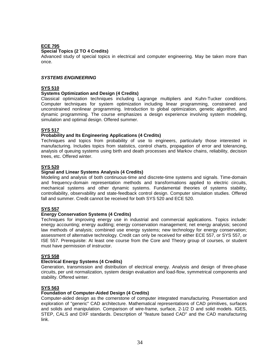## **ECE 795**

## **Special Topics (2 TO 4 Credits)**

Advanced study of special topics in electrical and computer engineering. May be taken more than once.

### **SYSTEMS ENGINEERING**

## **SYS 510**

## **Systems Optimization and Design (4 Credits)**

Classical optimization techniques including Lagrange multipliers and Kuhn-Tucker conditions. Computer techniques for system optimization including linear programming, constrained and unconstrained nonlinear programming. Introduction to global optimization, genetic algorithm, and dynamic programming. The course emphasizes a design experience involving system modeling, simulation and optimal design. Offered summer.

### **SYS 517**

### **Probability and Its Engineering Applications (4 Credits)**

Techniques and topics from probability of use to engineers, particularly those interested in manufacturing. Includes topics from statistics, control charts, propagation of error and tolerancing, analysis of queuing systems using birth and death processes and Markov chains, reliability, decision trees, etc. Offered winter.

## **SYS 520**

### **Signal and Linear Systems Analysis (4 Credits)**

Modeling and analysis of both continuous-time and discrete-time systems and signals. Time-domain and frequency-domain representation methods and transformations applied to electric circuits, mechanical systems and other dynamic systems. Fundamental theories of systems stability, controllability, observability and state-feedback control design. Computer simulation studies. Offered fall and summer. Credit cannot be received for both SYS 520 and ECE 520.

#### **SYS 557**

#### **Energy Conservation Systems (4 Credits)**

Techniques for improving energy use in industrial and commercial applications. Topics include: energy accounting; energy auditing; energy conservation management; net energy analysis; second law methods of analysis; combined use energy systems; new technology for energy conservation; assessment of alternative technology. Credit can only be received for either ECE 557, or SYS 557, or ISE 557. Prerequisite: At least one course from the Core and Theory group of courses, or student must have permission of instructor.

#### **SYS 558**

#### **Electrical Energy Systems (4 Credits)**

Generation, transmission and distribution of electrical energy. Analysis and design of three-phase circuits, per unit normalization, system design evaluation and load-flow, symmetrical components and stability. Offered winter.

## **SYS 563**

## **Foundation of Computer-Aided Design (4 Credits)**

Computer-aided design as the cornerstone of computer integrated manufacturing. Presentation and exploration of "generic" CAD architecture. Mathematical representations of CAD primitives, surfaces and solids and manipulation. Comparison of wire-frame, surface, 2-1/2 D and solid models. IGES, STEP, CALS and DXF standards. Description of "feature based CAD" and the CAD manufacturing link.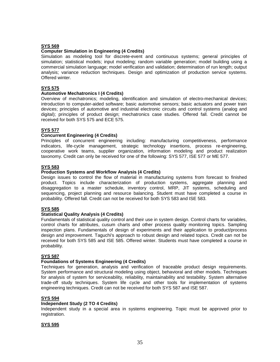# **SYS 569**

## **Computer Simulation in Engineering (4 Credits)**

Simulation as modeling tool for discrete-event and continuous systems; general principles of simulation; statistical models; input modeling; random variable generation; model building using a commercial simulation language; model verification and validation; determination of run length; output analysis; variance reduction techniques. Design and optimization of production service systems. Offered winter.

## **SYS 575**

#### **Automotive Mechatronics I (4 Credits)**

Overview of mechatronics; modeling, identification and simulation of electro-mechanical devices; introduction to computer-aided software; basic automotive sensors; basic actuators and power train devices; principles of automotive and industrial electronic circuits and control systems (analog and digital); principles of product design; mechatronics case studies. Offered fall. Credit cannot be received for both SYS 575 and ECE 575.

#### **SYS 577**

## **Concurrent Engineering (4 Credits)**

Principles of concurrent engineering including: manufacturing competitiveness, performance indicators, life-cycle management, strategic technology insertions, process re-engineering, cooperative work teams, supplier organization, information modeling and product realization taxonomy. Credit can only be received for one of the following: SYS 577, ISE 577 or ME 577.

### **SYS 583**

#### **Production Systems and Workflow Analysis (4 Credits)**

Design issues to control the flow of material in manufacturing systems from forecast to finished product. Topics include characterization of production systems, aggregate planning and disaggregation to a master schedule, inventory control, MRP, JIT systems, scheduling and sequencing, project planning and resource balancing. Student must have completed a course in probability. Offered fall. Credit can not be received for both SYS 583 and ISE 583.

## **SYS 585**

## **Statistical Quality Analysis (4 Credits)**

Fundamentals of statistical quality control and their use in system design. Control charts for variables, control charts for attributes, cusum charts and other process quality monitoring topics. Sampling inspection plans. Fundamentals of design of experiments and their application to product/process design and improvement. Taguchi's approach to robust design and related topics. Credit can not be received for both SYS 585 and ISE 585. Offered winter. Students must have completed a course in probability.

#### **SYS 587**

#### **Foundations of Systems Engineering (4 Credits)**

Techniques for generation, analysis and verification of traceable product design requirements. System performance and structural modeling using object, behavioral and other models. Techniques for analysis of system for serviceability, reliability, maintainability and testability. System alternative trade-off study techniques. System life cycle and other tools for implementation of systems engineering techniques. Credit can not be received for both SYS 587 and ISE 587.

#### **SYS 594**

#### **Independent Study (2 TO 4 Credits)**

Independent study in a special area in systems engineering. Topic must be approved prior to registration.

## **SYS 595**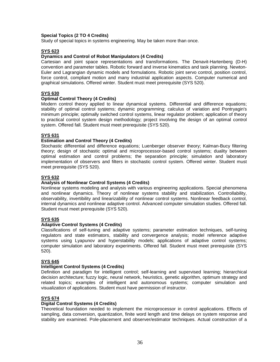### **Special Topics (2 TO 4 Credits)**

Study of special topics in systems engineering. May be taken more than once.

### **SYS 623**

#### **Dynamics and Control of Robot Manipulators (4 Credits)**

Cartesian and joint space representations and transformations. The Denavit-Hartenberg (D-H) convention and parameter tables. Robotic forward and inverse kinematics and task planning. Newton-Euler and Lagrangian dynamic models and formulations. Robotic joint servo control, position control, force control, compliant motion and many industrial application aspects. Computer numerical and graphical simulations. Offered winter. Student must meet prerequisite (SYS 520).

## **SYS 630**

## **Optimal Control Theory (4 Credits)**

Modern control theory applied to linear dynamical systems. Differential and difference equations; stability of optimal control systems; dynamic programming; calculus of variation and Pontryagin's minimum principle; optimally switched control systems, linear regulator problem; application of theory to practical control system design methodology; project involving the design of an optimal control system. Offered fall. Student must meet prerequisite (SYS 520).

#### **SYS 631**

#### **Estimation and Control Theory (4 Credits)**

Stochastic differential and difference equations; Luenberger observer theory; Kalman-Bucy filtering theory; design of stochastic optimal and microprocessor-based control systems; duality between optimal estimation and control problems; the separation principle; simulation and laboratory implementation of observers and filters in stochastic control system. Offered winter. Student must meet prerequisite (SYS 520).

#### **SYS 632**

#### **Analysis of Nonlinear Control Systems (4 Credits)**

Nonlinear systems modeling and analysis with various engineering applications. Special phenomena and nonlinear dynamics. Theory of nonlinear systems stability and stabilization. Controllability, observability, invertibility and linearizability of nonlinear control systems. Nonlinear feedback control, internal dynamics and nonlinear adaptive control. Advanced computer simulation studies. Offered fall. Student must meet prerequisite (SYS 520).

## **SYS 635**

#### **Adaptive Control Systems (4 Credits)**

Classifications of self-tuning and adaptive systems; parameter estimation techniques, self-tuning regulators and state estimators, stability and convergence analysis; model reference adaptive systems using Lyapunov and hyperstability models; applications of adaptive control systems; computer simulation and laboratory experiments. Offered fall. Student must meet prerequisite (SYS 520).

#### **SYS 645**

#### **Intelligent Control Systems (4 Credits)**

Definition and paradigm for intelligent control; self-learning and supervised learning; hierarchical decision architecture; fuzzy logic, neural network, heuristics, genetic algorithm, optimum strategy and related topics; examples of intelligent and autonomous systems; computer simulation and visualization of applications. Student must have permission of instructor.

#### **SYS 674**

#### **Digital Control Systems (4 Credits)**

Theoretical foundation needed to implement the microprocessor in control applications. Effects of sampling, data conversion, quantization, finite word length and time delays on system response and stability are examined. Pole-placement and observer/estimator techniques. Actual construction of a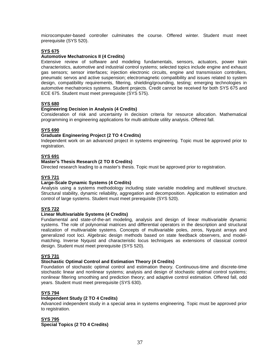microcomputer-based controller culminates the course. Offered winter. Student must meet prerequisite (SYS 520).

## **SYS 675**

## **Automotive Mechatronics II (4 Credits)**

Extensive review of software and modeling fundamentals, sensors, actuators, power train characteristics, automotive and industrial control systems; selected topics include engine and exhaust gas sensors; sensor interfaces; injection electronic circuits, engine and transmission controllers, pneumatic servos and active suspension; electromagnetic compatibility and issues related to system design, compatibility requirements, filtering, shielding/grounding, testing; emerging technologies in automotive mechatronics systems. Student projects. Credit cannot be received for both SYS 675 and ECE 675. Student must meet prerequisite (SYS 575).

## **SYS 680**

#### **Engineering Decision in Analysis (4 Credits)**

Consideration of risk and uncertainty in decision criteria for resource allocation. Mathematical programming in engineering applications for multi-attribute utility analysis. Offered fall.

#### **SYS 690**

### **Graduate Engineering Project (2 TO 4 Credits)**

Independent work on an advanced project in systems engineering. Topic must be approved prior to registration.

### **SYS 691**

#### **Master's Thesis Research (2 TO 8 Credits)**

Directed research leading to a master's thesis. Topic must be approved prior to registration.

## **SYS 721**

## **Large-Scale Dynamic Systems (4 Credits)**

Analysis using a systems methodology including state variable modeling and multilevel structure. Structural stability, dynamic reliability, aggregation and decomposition. Application to estimation and control of large systems. Student must meet prerequisite (SYS 520).

## **SYS 722**

#### **Linear Multivariable Systems (4 Credits)**

Fundamental and state-of-the-art modeling, analysis and design of linear multivariable dynamic systems. The role of polynomial matrices and differential operators in the description and structural realization of multivariable systems. Concepts of multivariable poles, zeros, Nyquist arrays and generalized root loci. Algebraic design methods based on state feedback observers, and modelmatching. Inverse Nyquist and characteristic locus techniques as extensions of classical control design. Student must meet prerequisite (SYS 520).

#### **SYS 731**

#### **Stochastic Optimal Control and Estimation Theory (4 Credits)**

Foundation of stochastic optimal control and estimation theory. Continuous-time and discrete-time stochastic linear and nonlinear systems; analysis and design of stochastic optimal control systems; nonlinear filtering smoothing and prediction theory; and adaptive control estimation. Offered fall, odd years. Student must meet prerequisite (SYS 630).

#### **SYS 794**

#### **Independent Study (2 TO 4 Credits)**

Advanced independent study in a special area in systems engineering. Topic must be approved prior to registration.

#### **SYS 795**

**Special Topics (2 TO 4 Credits)**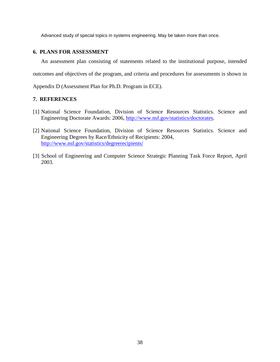Advanced study of special topics in systems engineering. May be taken more than once.

# **6. PLANS FOR ASSESSMENT**

 An assessment plan consisting of statements related to the institutional purpose, intended outcomes and objectives of the program, and criteria and procedures for assessments is shown in

Appendix D (Assessment Plan for Ph.D. Program in ECE).

# **7. REFERENCES**

- [1] National Science Foundation, Division of Science Resources Statistics. Science and Engineering Doctorate Awards: 2006, http://www.nsf.gov/statistics/doctorates.
- [2] National Science Foundation, Division of Science Resources Statistics. Science and Engineering Degrees by Race/Ethnicity of Recipients: 2004, http://www.nsf.gov/statistics/degreerecipients/
- [3] School of Engineering and Computer Science Strategic Planning Task Force Report, April 2003.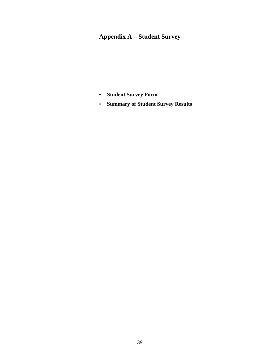# **Appendix A – Student Survey**

- **Student Survey Form**
- **Summary of Student Survey Results**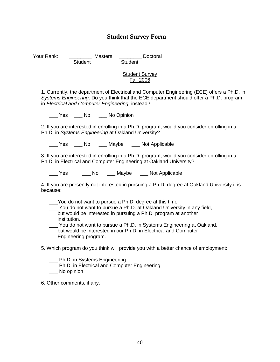# **Student Survey Form**

Your Rank: **Masters Masters Doctoral** Student Student

## **Student Survey** Fall 2006

1. Currently, the department of Electrical and Computer Engineering (ECE) offers a Ph.D. in Systems Engineering. Do you think that the ECE department should offer a Ph.D. program in Electrical and Computer Engineering instead?

Yes No No Opinion

2. If you are interested in enrolling in a Ph.D. program, would you consider enrolling in a Ph.D. in Systems Engineering at Oakland University?

Yes No Maybe Not Applicable

3. If you are interested in enrolling in a Ph.D. program, would you consider enrolling in a Ph.D. in Electrical and Computer Engineering at Oakland University?

Yes Mo Maybe Not Applicable

4. If you are presently not interested in pursuing a Ph.D. degree at Oakland University it is because:

- \_\_\_You do not want to pursue a Ph.D. degree at this time.
- \_\_\_ You do not want to pursue a Ph.D. at Oakland University in any field, but would be interested in pursuing a Ph.D. program at another institution.

\_\_\_ You do not want to pursue a Ph.D. in Systems Engineering at Oakland, but would be interested in our Ph.D. in Electrical and Computer Engineering program.

- 5. Which program do you think will provide you with a better chance of employment:
	- \_\_\_ Ph.D. in Systems Engineering
	- \_\_\_ Ph.D. in Electrical and Computer Engineering
	- \_\_\_ No opinion

6. Other comments, if any: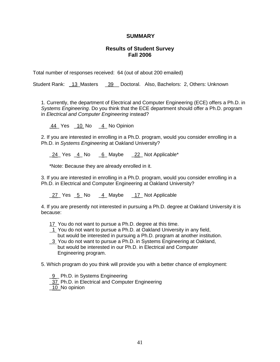# **SUMMARY**

# **Results of Student Survey Fall 2006**

Total number of responses received: 64 (out of about 200 emailed)

Student Rank: 13\_Masters \_39\_ Doctoral. Also, Bachelors: 2, Others: Unknown

1. Currently, the department of Electrical and Computer Engineering (ECE) offers a Ph.D. in Systems Engineering. Do you think that the ECE department should offer a Ph.D. program in Electrical and Computer Engineering instead?

44\_ Yes \_10 No \_4\_ No Opinion

2. If you are interested in enrolling in a Ph.D. program, would you consider enrolling in a Ph.D. in Systems Engineering at Oakland University?

24 Yes 4 No 6 Maybe 22 Not Applicable\*

\*Note: Because they are already enrolled in it.

3. If you are interested in enrolling in a Ph.D. program, would you consider enrolling in a Ph.D. in Electrical and Computer Engineering at Oakland University?

27 Yes 5 No 4 Maybe 17 Not Applicable

4. If you are presently not interested in pursuing a Ph.D. degree at Oakland University it is because:

- 17 You do not want to pursue a Ph.D. degree at this time.
- 1 You do not want to pursue a Ph.D. at Oakland University in any field, but would be interested in pursuing a Ph.D. program at another institution.
- 13 You do not want to pursue a Ph.D. in Systems Engineering at Oakland, but would be interested in our Ph.D. in Electrical and Computer Engineering program.

5. Which program do you think will provide you with a better chance of employment:

- 9 Ph.D. in Systems Engineering
- 37 Ph.D. in Electrical and Computer Engineering

\_10 No opinion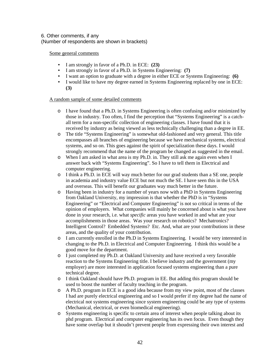## 6. Other comments, if any (Number of respondents are shown in brackets)

## Some general comments

- I am strongly in favor of a Ph.D. in ECE: **(23)**
- I am strongly in favor of a Ph.D. in Systems Engineering: **(7)**
- I want an option to graduate with a degree in either ECE or Systems Engineering: **(6)**
- I would like to have my degree earned in Systems Engineering replaced by one in ECE: **(3)**

## A random sample of some detailed comments

- o I have found that a Ph.D. in Systems Engineering is often confusing and/or minimized by those in industry. Too often, I find the perception that "Systems Engineering" is a catchall term for a non-specific collection of engineering classes. I have found that it is received by industry as being viewed as less technically challenging than a degree in EE.
- o The title "Systems Engineering" is somewhat old-fashioned and very general. This title encompasses all branches of engineering because we have mechanical systems, electrical systems, and so on. This goes against the spirit of specialization these days. I would strongly recommend that the name of the program be changed as suggested in the email.
- o When I am asked in what area is my Ph.D. in. They still ask me again even when I answer back with "Systems Engineering". So I have to tell them in Electrical and computer engineering.
- o I think a Ph.D. in ECE will way much better for our grad students than a SE one, people in academia and industry value ECE but not much the SE. I have seen this in the USA and overseas. This will benefit our graduates way much better in the future.
- o Having been in industry for a number of years now with a PhD in Systems Engineering from Oakland University, my impression is that whether the PhD is in "Systems Engineering" or "Electrical and Computer Engineering" is not so critical in terms of the opinion of employers. What companies will mainly be concerned about is what you have done in your research, i.e. what *specific* areas you have worked in and what are your accomplishments in those areas. Was your research on robotics? Mechatronics? Intelligent Control? Embedded Systems? Etc. And, what are your contributions in these areas, and the quality of your contribution.
- o I am currently enrolled in the Ph.D in Systems Engineering. I would be very interested in changing to the Ph.D. in Electrical and Computer Engineering. I think this would be a good move for the department.
- o I just completed my Ph.D. at Oakland University and have received a very favorable reaction to the Systems Engineering title. I believe industry and the government (my employer) are more interested in application focused systems engineering than a pure technical degree.
- o I think Oakland should have Ph.D. program in EE. But adding this program should be used to boost the number of faculty teaching in the program.
- o A Ph.D. program in ECE is a good idea because from my view point, most of the classes I had are purely electrical engineering and so I would prefer if my degree had the name of electrical not systems engineering since system engineering could be any type of systems (Mechanical, electrical, or even biomedical engineering).
- o Systems engineering is specific to certain area of interest when people talking about its phd program. Electrical and computer engineering has its own focus. Even though they have some overlap but it shoudn't prevent people from expressing their own interest and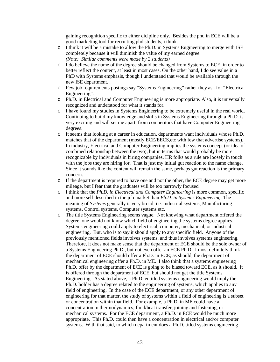gaining recognition specific to either dicipline only. Besides the phd in ECE will be a good marketing tool for recruiting phd students, i think.

- o I think it will be a mistake to allow the Ph.D. in Systems Engineering to merge with ISE completely because it will diminish the value of my earned degree. *(Note: Similar comments were made by 2 students)*
- o I do believe the name of the degree should be changed from Systems to ECE, in order to better reflect the content, at least in most cases. On the other hand, I do see value in a PhD with Systems emphasis, though I understand that would be available through the new ISE department. .
- o Few job requirements postings say "Systems Engineering" rather they ask for "Electrical Engineering".
- o Ph.D. in Electrical and Computer Engineering is more appropriate. Also, it is universally recognized and understood for what it stands for.
- o I have found my studies in Systems Engineering to be extremely useful in the real world. Continuing to build my knowledge and skills in Systems Engineering through a Ph.D. is very exciting and will set me apart from competitors that have Computer Engineering degrees.
- o It seems that looking at a career in education, departments want individuals whose Ph.D. matches that of the department (mostly ECE/EECS,etc with few that advertise systems). In industry, Electrical and Computer Engineering implies the systems concept (or idea of combined relationship between the two), but in terms that would probably be more recognizable by individuals in hiring companies. HR folks as a rule are loosely in touch with the jobs they are hiring for. That is just my initial gut reaction to the name change. Since it sounds like the content will remain the same, perhaps gut reaction is the primary concern.
- o If the department is required to have one and not the other, the ECE degree may get more mileage, but I fear that the graduates will be too narrowly focused.
- o I think that the *Ph.D. in Electrical and Computer Engineering* is more common, specific and more self described in the job market than *Ph.D. in Systems Engineering*. The meaning of *Systems* generally is very broad, i.e. Industrial systems, Manufacturing systems, Control systems, Computer systems etc.
- o The title Systems Engineering seems vague. Not knowing what department offered the degree, one would not know which field of engineering the systems degree applies. Systems engineering could apply to electrical, computer, mechanical, or industrial engineering. But, who is to say it should apply to any specific field. Anyone of the previously mentioned fields involves systems, and thus involves systems engineering. Therefore, it does not make sense that the department of ECE should be the sole owner of a Systems Engineering Ph.D., but not even offer an ECE Ph.D. I most definitely think the department of ECE should offer a Ph.D. in ECE; as should, the department of mechanical engineering offer a Ph.D. in ME. I also think that a systems engineering Ph.D. offer by the department of ECE is going to be biased toward ECE, as it should. It is offered through the department of ECE, but should not get the title Systems Engineering. As stated above, a Ph.D. entitled systems engineering would imply the Ph.D. holder has a degree related to the engineering of systems, which applies to any field of engineering. In the case of the ECE department, or any other department of engineering for that matter, the study of systems within a field of engineering is a subset or concentration within that field. For example, a Ph.D. in ME could have a concentration in thermodynamics, fluid/heat transfer, joining and fastening, or mechanical systems. For the ECE department, a Ph.D. in ECE would be much more appropriate. This Ph.D. could then have a concentration in electrical and/or computer systems. With that said, to which department does a Ph.D. titled systems engineering